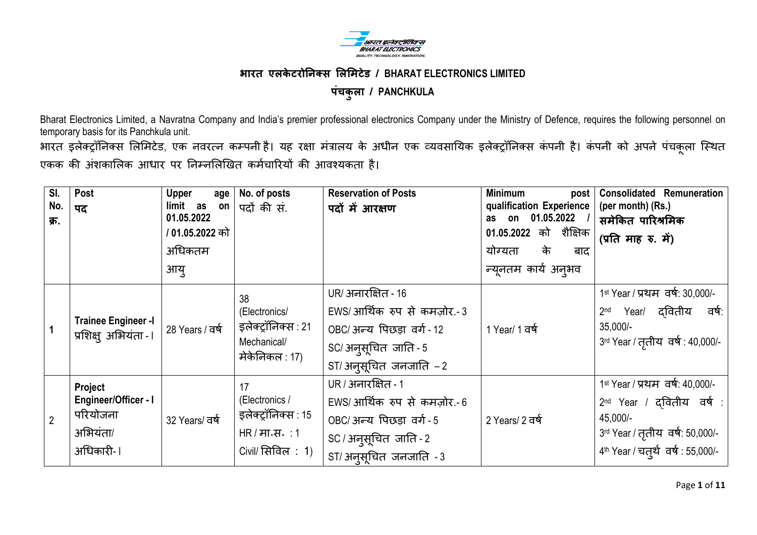

# **भारत एऱके टरोननक्स लऱलमटेड / BHARAT ELECTRONICS LIMITED ऩंचकुऱा / PANCHKULA**

Bharat Electronics Limited, a Navratna Company and India"s premier professional electronics Company under the Ministry of Defence, requires the following personnel on temporary basis for its Panchkula unit.

भारत इलेक्ट्रॉनिक्स लिमिटेड, एक नवरत्न कम्पनी है। यह रक्षा मंत्रालय के अधीन एक व्यवसायिक इलेक्ट्रॉनिक्स कंपनी है। कंपनी को अपने पंचकूला स्थित एकक की अंशकालिक आधार पर निम्नलिखित कर्मचारियों की आवश्यकता है।

| SI.<br>No.<br>क्र. | Post<br>पद                                                           | <b>Upper</b><br>age<br>limit as<br>$\mathsf{on}$<br>01.05.2022<br>/ 01.05.2022 को<br>अधिकतम<br>आयु | No. of posts<br>पदों की सं.                                                                        | <b>Reservation of Posts</b><br>पदों में आरक्षण                                                                                     | <b>Minimum</b><br>post<br>qualification Experience<br>01.05.2022<br>on<br>as<br>01.05.2022 को शैक्षिक<br>के<br>योग्यता<br>बाद<br>न्यूनतम कार्य अनुभव | <b>Consolidated Remuneration</b><br>(per month) (Rs.)<br>समेकित पारिश्रमिक<br>(प्रति माह रु. में)                                                                                 |
|--------------------|----------------------------------------------------------------------|----------------------------------------------------------------------------------------------------|----------------------------------------------------------------------------------------------------|------------------------------------------------------------------------------------------------------------------------------------|------------------------------------------------------------------------------------------------------------------------------------------------------|-----------------------------------------------------------------------------------------------------------------------------------------------------------------------------------|
|                    | <b>Trainee Engineer -I</b><br>प्रशिक्ष् अभियंता -।                   | 28 Years / वर्ष                                                                                    | 38<br>(Electronics/<br>इलेक्ट्रॉनिक्स : 21<br>Mechanical/<br>मेकेनिकल : 17)                        | UR/ अनारक्षित - 16<br>EWS/आर्थिक रुप से कमज़ोर.-3<br>OBC/ अन्य पिछड़ा वर्ग - 12<br>SC/ अनुसूचित जाति - 5<br>ST/अनूसूचित जनजाति -2  | 1 Year/ 1 वर्ष                                                                                                                                       | 1st Year / प्रथम वर्ष: 30,000/-<br>दवितीय<br>वर्ष:<br>2 <sub>nd</sub><br>Year/<br>$35,000/-$<br>3rd Year / तृतीय वर्ष: 40,000/-                                                   |
| $\overline{2}$     | Project<br>Engineer/Officer - I<br>परियोजना<br>अभियंता/<br>अधिकारी-। | 32 Years/ वर्ष                                                                                     | 17<br>(Electronics /<br>इलेक्ट्रॉनिक्स : 15<br>HR / मा $\cdot$ स $\cdot$ : 1<br>Civil/ सिविल: $1)$ | UR / अनारक्षित - 1<br>EWS/आर्थिक रुप से कमज़ोर.-6<br>OBC/ अन्य पिछड़ा वर्ग - 5<br>SC / अनुसूचित जाति - 2<br>ST/अनुसूचित जनजाति - 3 | 2 Years/ 2 वर्ष                                                                                                                                      | 1 <sup>st</sup> Year / प्रथम वर्ष: 40,000/-<br>2 <sup>nd</sup> Year / दवितीय वर्ष:<br>45,000/-<br>3rd Year / तृतीय वर्ष: 50,000/-<br>4 <sup>th</sup> Year / चतुर्थ वर्ष: 55,000/- |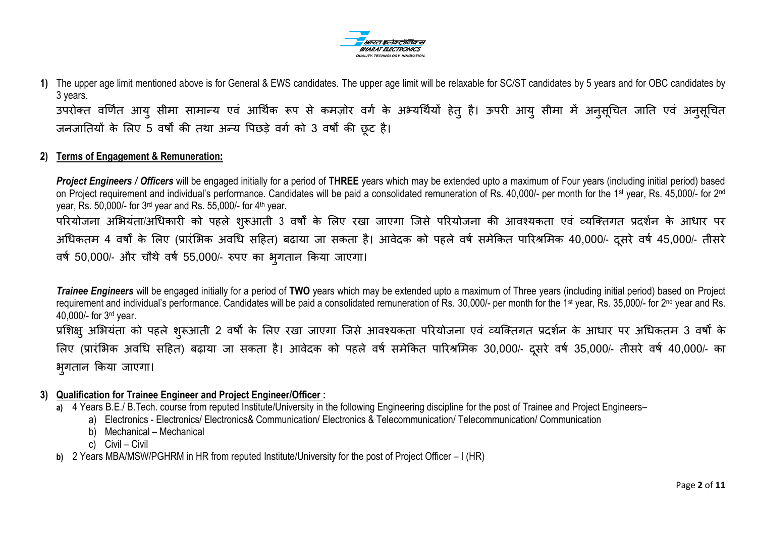

**1)** The upper age limit mentioned above is for General & EWS candidates. The upper age limit will be relaxable for SC/ST candidates by 5 years and for OBC candidates by 3 years. उपरोक्त वर्णित आयु सीमा सामान्य एवं आर्थिक रूप से कमज़ोर वर्ग के अभ्यर्थियों हेतु है। ऊपरी आयु सीमा में अनुसूचित जाति एवं अनुसूचित जनजातियों के लिए 5 वर्षों की तथा अन्य पिछड़े वर्ग को 3 वर्षों की छूट है।

#### **2) Terms of Engagement & Remuneration:**

*Project Engineers / Officers* will be engaged initially for a period of **THREE** years which may be extended upto a maximum of Four years (including initial period) based on Project requirement and individual's performance. Candidates will be paid a consolidated remuneration of Rs. 40,000/- per month for the 1<sup>st</sup> year, Rs. 45,000/- for 2<sup>nd</sup> year, Rs. 50,000/- for 3rd year and Rs. 55,000/- for 4th year. परियोजना अभियंता/अधिकारी को पहले शुरूआती 3 वर्षों के लिए रखा जाएगा जिसे परियोजना की आवश्यकता एवं व्यक्तिगत प्रदर्शन के आधार पर अधिकतम 4 वर्षों के लिए (प्रारंभिक अवधि सहित) बढ़ाया जा सकता है। आवेदक को पहले वर्ष समेकित पारिश्रमिक 40,000/- दसरे वर्ष 45,000/- तीसरे वर्ष 50,000/- और चौथे वर्ष 55,000/- रुपए का भृगतान किया जाएगा।

*Trainee Engineers* will be engaged initially for a period of **TWO** years which may be extended upto a maximum of Three years (including initial period) based on Project requirement and individual's performance. Candidates will be paid a consolidated remuneration of Rs. 30,000/- per month for the 1<sup>st</sup> year, Rs. 35,000/- for 2<sup>nd</sup> year and Rs. 40,000/- for 3rd year.

प्रशिक्षु अभियंता को पहले शुरूआती 2 वर्षों के लिए रखा जाएगा जिसे आवश्यकता परियोजना एवं व्यक्तिगत प्रदर्शन के आधार पर अधिकतम 3 वर्षों के लिए (प्रारंभिक अवधि सहित) बढ़ाया जा सकता है। आवेदक को पहले वर्ष समेकित पारिश्रमिक 30,000/- दुसरे वर्ष 35,000/- तीसरे वर्ष 40,000/- का भगतान किया जाएगा।

- **3) Qualification for Trainee Engineer and Project Engineer/Officer :** 
	- a) 4 Years B.E./ B.Tech. course from reputed Institute/University in the following Engineering discipline for the post of Trainee and Project Engineers–
		- a) Electronics Electronics/ Electronics& Communication/ Electronics & Telecommunication/ Telecommunication/ Communication
		- b) Mechanical Mechanical
		- c) Civil Civil
	- **b)** 2 Years MBA/MSW/PGHRM in HR from reputed Institute/University for the post of Project Officer I (HR)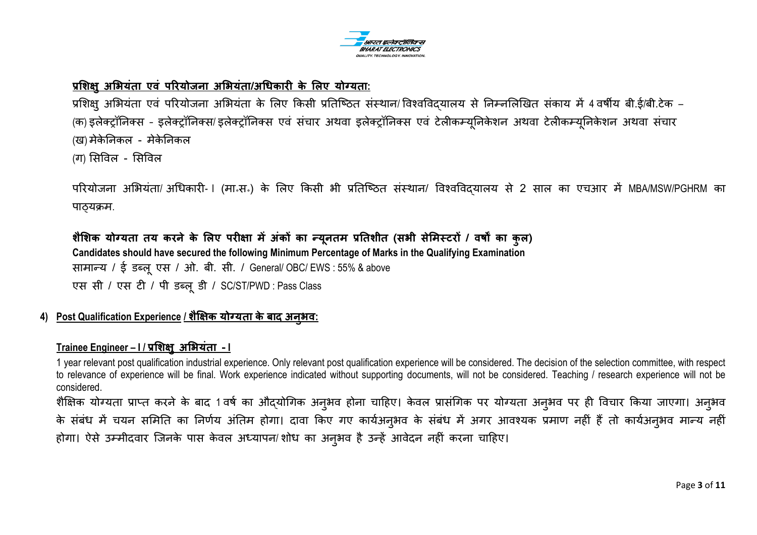

### **प्रलिऺु अलभयंता एवं ऩररयोजना अलभयंता/अधधकारी के लऱए योग्यता:**

प्रशिक्षु अभियंता एवं परियोजना अभियंता के लिए किसी प्रतिष्ठित संस्थान/ विश्वविदयालय से निम्नलिखित संकाय में 4 वर्षीय बी.ई/बी.टेक – (क) इलेक्ट्रॉनिक्स - इलेक्ट्रॉनिक्स/ इलेक्ट्रॉनिक्स एवं संचार अथवा इलेक्ट्रॉनिक्स एवं टेलीकम्युनिकेशन टेलीकम्युनिकेशन अथवा संचार (ख) मेकेनिकल - मेकेनिकल

(ग) सिविल - सिविल

परियोजना अभियंता/ अधिकारी- I (मा॰स॰) के लिए किसी भी प्रतिष्ठित संस्थान/ विश्वविदयालय से 2 साल का एचआर में MBA/MSW/PGHRM का पाठ्यक्रम.

**िैलिक योग्यता तय करने के लऱए ऩरीऺा मेंअंकों का न्यूनतम प्रनतिीत (सभी सेलमस्टरों / वर्षों का कुऱ) Candidates should have secured the following Minimum Percentage of Marks in the Qualifying Examination** साभान्म / ई डब्रूएस / ओ. फी. सी. / General/ OBC/ EWS : 55% & above एस सी / एस टी / ऩी डब्रूडी / SC/ST/PWD : Pass Class

#### **4) Post Qualification Experience / िैक्षऺक योग्यता के बाद अनुभव:**

### **Trainee Engineer – I / प्रलिऺु अलभयंता - I**

1 year relevant post qualification industrial experience. Only relevant post qualification experience will be considered. The decision of the selection committee, with respect to relevance of experience will be final. Work experience indicated without supporting documents, will not be considered. Teaching / research experience will not be considered.

शैक्षिक योग्यता प्राप्त करने के बाद 1 वर्ष का औद्योगिक अनुभव होना चाहिए। केवल प्रासंगिक पर योग्यता अनुभव पर ही विचार किया जाएगा। अनुभव के संबंध में चयन समिति का निर्णय अंतिम होगा। दावा किए गए कार्यअन्भव के संबंध में अगर आवश्यक प्रमाण नहीं हैं तो कार्यअन्भव मान्य नहीं होगा। ऐसे उम्मीदवार जिनके पास केवल अध्यापन/ शोध का अनुभव है उन्हें आवेदन नहीं करना चाहिए।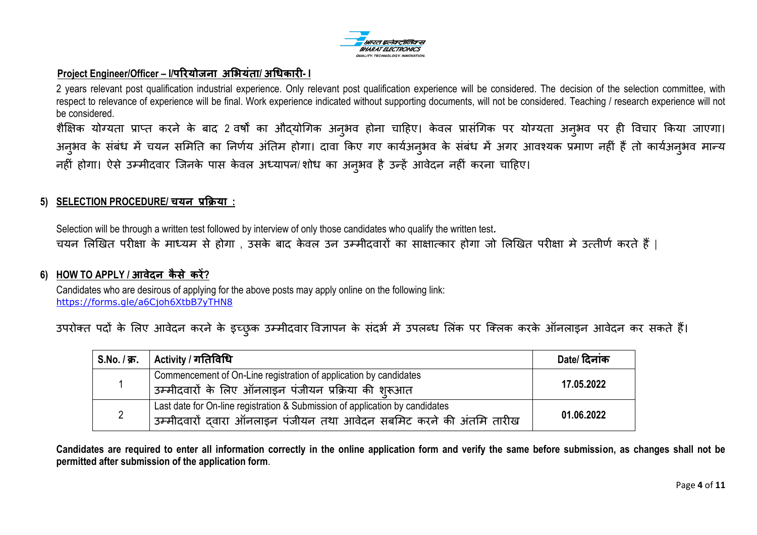

#### **Project Engineer/Officer – I/ऩररयोजना अलभयंता/ अधधकारी- I**

2 years relevant post qualification industrial experience. Only relevant post qualification experience will be considered. The decision of the selection committee, with respect to relevance of experience will be final. Work experience indicated without supporting documents, will not be considered. Teaching / research experience will not be considered.

शैक्षिक योग्यता प्राप्त करने के बाद 2 वर्षों का औद्योगिक अनुभव होना चाहिए। केवल प्रासंगिक पर योग्यता अनुभव पर ही विचार किया जाएगा। अनुभव के संबंध में चयन समिति का निर्णय अंतिम होगा। दावा किए गए कार्यअनुभव के संबंध में अगर आवश्यक प्रमाण नहीं हैं तो कार्यअनुभव मान्य नहीं होगा। ऐसे उम्मीदवार जिनके पास केवल अध्यापन/ शोध का अनुभव है उन्हें आवेदन नहीं करना चाहिए।

#### **5) SELECTION PROCEDURE/ चयन प्रकक्रया :**

Selection will be through a written test followed by interview of only those candidates who qualify the written test*.* चयन लिखित परीक्षा के माध्यम से होगा , उसके बाद केवल उन उम्मीदवारों का साक्षात्कार होगा जो लिखित परीक्षा मे उत्तीर्ण करते हैं |

#### **6) HOW TO APPLY / आवेदन कै से करें?**

Candidates who are desirous of applying for the above posts may apply online on the following link: https://forms.gle/a6Cjoh6XtbB7yTHN8

उपरोक्त पदों के लिए आवेदन करने के इच्छुक उम्मीदवार विज्ञापन के संदर्भ में उपलब्ध लिंक पर क्लिक करके ऑनलाइन आवेदन कर सकते हैं।

| S.No. / क्र.   Activity / गतिविधि                                                                                                                   | Date/ दिनांक |
|-----------------------------------------------------------------------------------------------------------------------------------------------------|--------------|
| Commencement of On-Line registration of application by candidates<br>उम्मीदवारों के लिए ऑनलाइन पंजीयन प्रक्रिया की शुरूआत                           | 17.05.2022   |
| Last date for On-line registration & Submission of application by candidates<br>उम्मीदवारों दवारा ऑनलाइन पंजीयन तथा आवेदन सबमिट करने की अंतमि तारीख | 01.06.2022   |

**Candidates are required to enter all information correctly in the online application form and verify the same before submission, as changes shall not be permitted after submission of the application form**.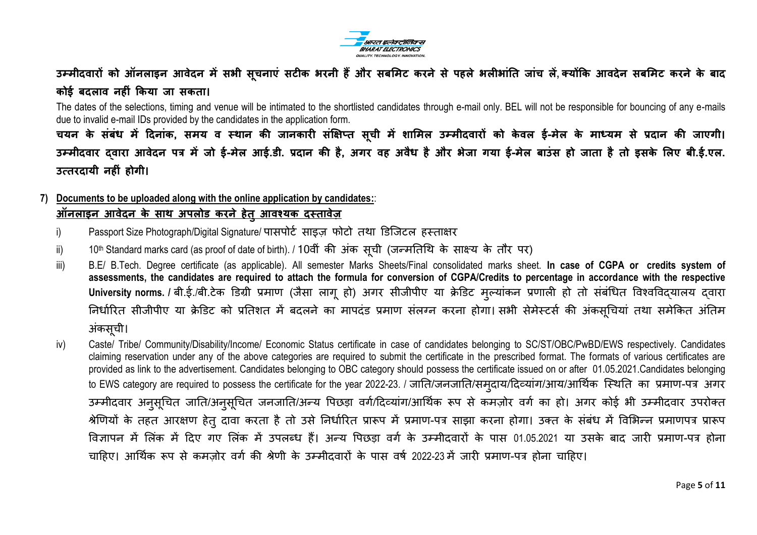

**उम्मीदवारों को ऑनऱाइन आवेदन मेंसभी सूचनाएं सटीक भरनी हैंऔर सबलमट करने से ऩहऱे भऱीभांनत जांच ऱें, क्योंकक आवदेन सबलमट करने के बाद कोई बदऱाव नहीं ककया जा सकता।** 

The dates of the selections, timing and venue will be intimated to the shortlisted candidates through e-mail only. BEL will not be responsible for bouncing of any e-mails due to invalid e-mail IDs provided by the candidates in the application form.

चयन के संबंध में दिनांक, समय व स्थान की जानकारी संक्षिप्त सूची में शामिल उम्मीदवारों को केवल ई-मेल के माध्यम से प्रदान की जाएगी। **उम्मीदवार द्वारा आवेदन ऩत्र में जो ई-मेऱ आई.डी. प्रदान की है, अगर वह अवैध है और भेजा गया ई-मेऱ बाउंस हो जाता है तो इसके लऱए बी.ई.एऱ. उत्तरदायी नहीं होगी।** 

## **7) Documents to be uploaded along with the online application by candidates:**:

# **ऑनऱाइन आवेदन के साथ अऩऱोड करने हेतुआवश्यक दस्तावेज़**

- i) Passport Size Photograph/Digital Signature/ पासपोर्ट साइज़ फोटो तथा डिजिटल हस्ताक्षर
- ii) 10th Standard marks card (as proof of date of birth). / 10वीं की अंक सूची (जन्मतिथि के साक्ष्य के तौर पर)
- iii) B.E/ B.Tech. Degree certificate (as applicable). All semester Marks Sheets/Final consolidated marks sheet. **In case of CGPA or credits system of assessments, the candidates are required to attach the formula for conversion of CGPA/Credits to percentage in accordance with the respective**  University norms. / बी.ई./बी.टेक डिग्री प्रमाण (जैसा लागू हो) अगर सीजीपीए या क्रेडिट मूल्यांकन प्रणाली हो तो संबंधित विश्वविदयालय दवारा निर्धारित सीजीपीए या क्रेडिट को प्रतिशत में बदलने का मापदंड प्रमाण संलग्न करना होगा। सभी सेमेस्टर्स की अंकसूचियां तथा समेकित अंतिम अंकसूची।
- iv) Caste/ Tribe/ Community/Disability/Income/ Economic Status certificate in case of candidates belonging to SC/ST/OBC/PwBD/EWS respectively. Candidates claiming reservation under any of the above categories are required to submit the certificate in the prescribed format. The formats of various certificates are provided as link to the advertisement. Candidates belonging to OBC category should possess the certificate issued on or after 01.05.2021.Candidates belonging to EWS category are required to possess the certificate for the year 2022-23. / जाति/जनजाति/सम्दाय/दिव्यांग/आय/आर्थिक स्थिति का प्रमाण-पत्र अगर उम्मीदवार अनुसूचित जाति/अनुसूचित जनजाति/अन्य पिछड़ा वर्ग/दिव्यांग/आर्थिक रूप से कमज़ोर वर्ग का हो। अगर कोई भी उम्मीदवार उपरोक्त श्रेणियों के तहत आरक्षण हेतु दावा करता है तो उसे निर्धारित प्रारूप में प्रमाण-पत्र साझा करना होगा। उक्त के संबंध में विभिन्न प्रमाणपत्र प्रारूप विज्ञापन में लिंक में दिए गए लिंक में उपलब्ध हैं। अन्य पिछड़ा वर्ग के उम्मीदवारों के पास 01.05.2021 या उसके बाद जारी प्रमाण-पत्र होना चाहिए। आर्थिक रूप से कमजोर वर्ग की श्रेणी के उम्मीदवारों के पास वर्ष 2022-23 में जारी प्रमाण-पत्र होना चाहिए।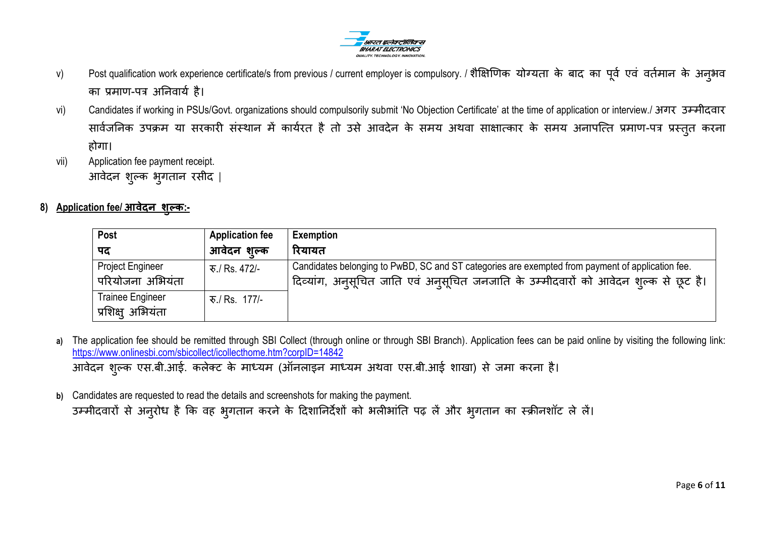

- v) Post qualification work experience certificate/s from previous / current employer is compulsory. / शैक्षिणिक योग्यता के बाद का पूर्व एवं वर्तमान के अनुभव का प्रमाण-पत्र अनिवार्य है।
- vi) Candidates if working in PSUs/Govt. organizations should compulsorily submit 'No Objection Certificate' at the time of application or interview./ अगर उम्मीदवार सार्वजनिक उपक्रम या सरकारी संस्थान में कार्यरत है तो उसे आवदेन के समय अथवा साक्षात्कार के समय अनापत्ति प्रमाण-पत्र प्रस्तुत करना होगा।
- vii) Application fee payment receipt. आवेदन शुलक बुर्तान यसीद |
- **8) Application fee/ आवेदन िुल्क:-**

| Post                                         | <b>Application fee</b> | <b>Exemption</b>                                                                                                                                                                          |
|----------------------------------------------|------------------------|-------------------------------------------------------------------------------------------------------------------------------------------------------------------------------------------|
| पद                                           | आवेदन शुल्क            | रियायत                                                                                                                                                                                    |
| <b>Project Engineer</b><br>परियोजना अभियंता  | ক./ Rs. 472/-          | Candidates belonging to PwBD, SC and ST categories are exempted from payment of application fee.<br>ंदिव्यांग, अनुसूचित जाति एवं अनुसूचित जनजाति के उम्मीदवारों को आवेदन शुल्क से छूट है। |
| <b>Trainee Engineer</b><br>प्रशिक्ष् अभियंता | रु./ Rs. 177/-         |                                                                                                                                                                                           |

- a) The application fee should be remitted through SBI Collect (through online or through SBI Branch). Application fees can be paid online by visiting the following link: https://www.onlinesbi.com/sbicollect/icollecthome.htm?corpID=14842 आवेदन शुल्क एस.बी.आई. कलेक्ट के माध्यम (ऑनलाइन माध्यम अथवा एस.बी.आई शाखा) से जमा करना है।
- **b)** Candidates are requested to read the details and screenshots for making the payment. उम्मीदवारों से अनुरोध है कि वह भुगतान करने के दिशानिर्देशों को भलीभांति पढ़ लें और भुगतान का स्क्रीनशॉट ले लें।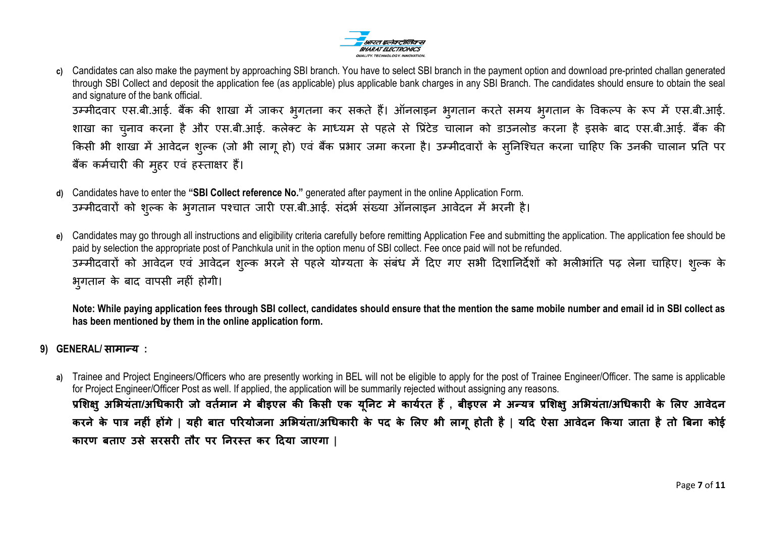

**c)** Candidates can also make the payment by approaching SBI branch. You have to select SBI branch in the payment option and download pre-printed challan generated through SBI Collect and deposit the application fee (as applicable) plus applicable bank charges in any SBI Branch. The candidates should ensure to obtain the seal and signature of the bank official. उम्मीदवार एस.बी.आई. बैंक की शाखा में जाकर भुगतना कर सकते हैं। ऑनलाइन भुगतान करते समय भुगतान के विकल्प के रूप में एस.बी.आई.

शाखा का चुनाव करना है और एस.बी.आई. कलेक्ट के माध्यम से पहले से प्रिंटेड चालान को डाउनलोड करना है इसके बाद एस.बी.आई. बैंक की किसी भी शाखा में आवेदन शुल्क (जो भी लागू हो) एवं बैंक प्रभार जमा करना है। उम्मीदवारों के सुनिश्चित करना चाहिए कि उनकी चालान प्रति पर बैंक कर्मचारी की मुहर एवं हस्ताक्षर हैं।

- **d)** Candidates have to enter the **"SBI Collect reference No."** generated after payment in the online Application Form. उम्मीदवारों को शुल्क के भुगतान पश्चात जारी एस.बी.आई. संदर्भ संख्या ऑनलाइन आवेदन में भरनी है।
- **e)** Candidates may go through all instructions and eligibility criteria carefully before remitting Application Fee and submitting the application. The application fee should be paid by selection the appropriate post of Panchkula unit in the option menu of SBI collect. Fee once paid will not be refunded. उम्मीदवारों को आवेदन एवं आवेदन शुल्क भरने से पहले योग्यता के संबंध में दिए गए सभी दिशानिर्देशों को भलीभांति पढ़ लेना चाहिए। शुल्क के भूगतान के बाद वापसी नहीं होगी।

**Note: While paying application fees through SBI collect, candidates should ensure that the mention the same mobile number and email id in SBI collect as has been mentioned by them in the online application form.** 

- **9) GENERAL/ सामान्य :**
	- **a)** Trainee and Project Engineers/Officers who are presently working in BEL will not be eligible to apply for the post of Trainee Engineer/Officer. The same is applicable for Project Engineer/Officer Post as well. If applied, the application will be summarily rejected without assigning any reasons. प्रशिक्षु अभियंता/अधिकारी जो वर्तमान मे बीइएल की किसी एक युनिट मे कार्यरत हैं , बीइएल मे अन्यत्र प्रशिक्षु अभियंता/अधिकारी के लिए आवेदन करने के पात्र नहीं होंगे | यही बात परियोजना अभियंता/अधिकारी के पद के लिए भी लागू होती है | यदि ऐसा आवेदन किया जाता है तो बिना कोई **कारण बताए उसे सरसरी तौर ऩर ननरस्त कर ददया जाएगा |**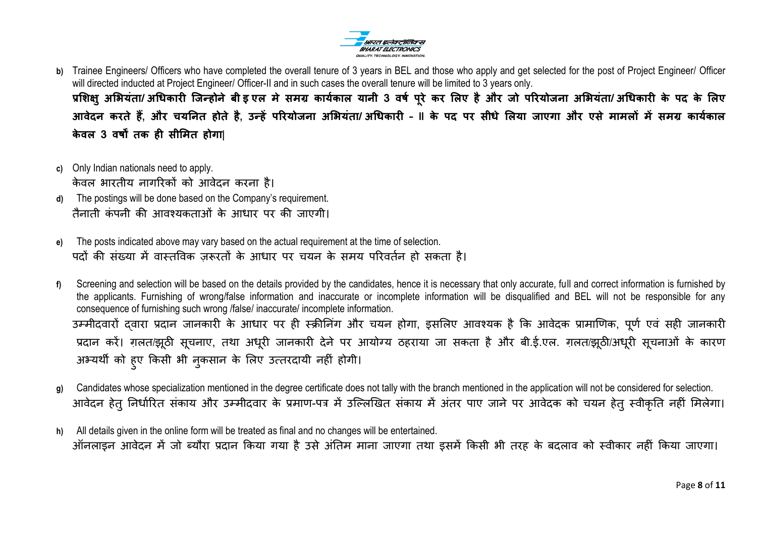

**b)** Trainee Engineers/ Officers who have completed the overall tenure of 3 years in BEL and those who apply and get selected for the post of Project Engineer/ Officer will directed inducted at Project Engineer/ Officer-II and in such cases the overall tenure will be limited to 3 years only.

प्रशिक्षु अभियंता/अधिकारी जिन्होने बीड़ एल मे समग्र कार्यकाल यानी 3 वर्ष परे कर लिए है और जो परियोजना अभियंता/अधिकारी के पद के लिए **आवेदन करते हैं, और चयननत होते है, उन्हें ऩररयोजना अलभयंता/ अधधकारी – II के ऩद ऩर सीधे लऱया जाएगा और एसे मामऱों में समग्र कायतकाऱ के वऱ 3 वर्षों तक ही सीलमत होगा|**

- **c)** Only Indian nationals need to apply. के वर बायतीम नार्रयकों को आवेदन कयना है।
- **d)** The postings will be done based on the Company"s requirement. तैनाती कंपनी की आवश्यकताओं के आधार पर की जाएगी।
- **e)** The posts indicated above may vary based on the actual requirement at the time of selection. पदों की संख्या में वास्तविक जरूरतों के आधार पर चयन के समय परिवर्तन हो सकता है।
- **f)** Screening and selection will be based on the details provided by the candidates, hence it is necessary that only accurate, full and correct information is furnished by the applicants. Furnishing of wrong/false information and inaccurate or incomplete information will be disqualified and BEL will not be responsible for any consequence of furnishing such wrong /false/ inaccurate/ incomplete information. उम्मीदवारों दवारा प्रदान जानकारी के आधार पर ही स्क्रीनिंग और चयन होगा, इसलिए आवश्यक है कि आवेदक प्रामाणिक, पूर्ण एवं सही जानकारी प्रदान करें। ग़लत/झूठी सूचनाए, तथा अधूरी जानकारी देने पर आयोग्य ठहराया जा सकता है और बी.ई.एल. ग़लत/झूठी/अधूरी सूचनाओं के कारण अभ्यर्थी को हुए किसी भी नुकसान के लिए उत्तरदायी नहीं होगी।
- **g)** Candidates whose specialization mentioned in the degree certificate does not tally with the branch mentioned in the application will not be considered for selection. आवेदन हेतु निर्धारित संकाय और उम्मीदवार के प्रमाण-पत्र में उल्लिखित संकाय में अंतर पाए जाने पर आवेदक को चयन हेतु स्वीकृति नहीं मिलेगा।
- **h)** All details given in the online form will be treated as final and no changes will be entertained. ऑनलाइन आवेदन में जो ब्यौरा प्रदान किया गया है उसे अंतिम माना जाएगा तथा इसमें किसी भी तरह के बदलाव को स्वीकार नहीं किया जाएगा।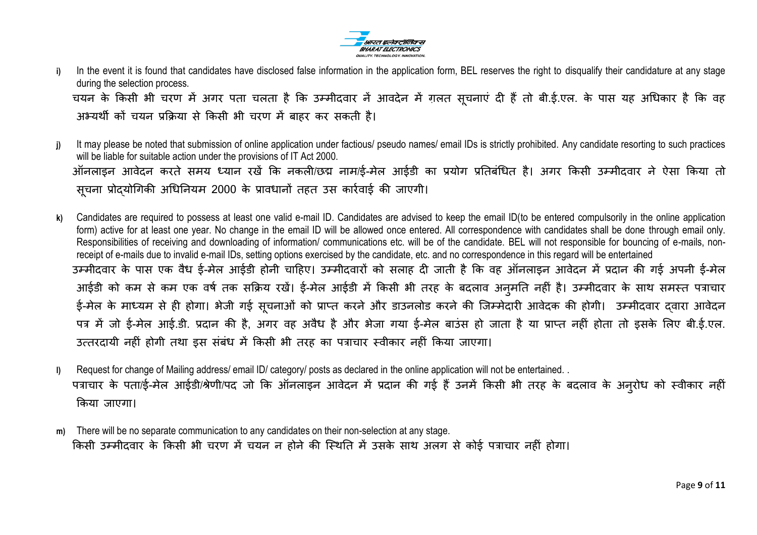

- i) In the event it is found that candidates have disclosed false information in the application form, BEL reserves the right to disqualify their candidature at any stage during the selection process. चयन के किसी भी चरण में अगर पता चलता है कि उम्मीदवार नें आवदेन में ग़लत सूचनाएं दी हैं तो बी.ई.एल. के पास यह अधिकार है कि वह अभ्मथी कों चमन प्रकक्रमा से ककसी बी चयण भें फाहय कय सकती है।
- **j)** It may please be noted that submission of online application under factious/ pseudo names/ email IDs is strictly prohibited. Any candidate resorting to such practices will be liable for suitable action under the provisions of IT Act 2000. ऑनलाइन आवेदन करते समय ध्यान रखें कि नकली/छद्म नाम/ई-मेल आईडी का प्रयोग प्रतिबंधित है। अगर किसी उम्मीदवार ने ऐसा किया तो सचना प्रोदयोगिकी अधिनियम 2000 के प्रावधानों तहत उस कार्रवाई की जाएगी।
- **k)** Candidates are required to possess at least one valid e-mail ID. Candidates are advised to keep the email ID(to be entered compulsorily in the online application form) active for at least one year. No change in the email ID will be allowed once entered. All correspondence with candidates shall be done through email only. Responsibilities of receiving and downloading of information/ communications etc. will be of the candidate. BEL will not responsible for bouncing of e-mails, nonreceipt of e-mails due to invalid e-mail IDs, setting options exercised by the candidate, etc. and no correspondence in this regard will be entertained उम्मीदवार के पास एक वैध ई-मेल आईडी होनी चाहिए। उम्मीदवारों को सलाह दी जाती है कि वह ऑनलाइन आवेदन में प्रदान की गई अपनी ई-मेल आईडी को कम से कम एक वर्ष तक सक्रिय रखें। ई-मेल आईडी में किसी भी तरह के बदलाव अनुमति नहीं है। उम्मीदवार के साथ समस्त पत्राचार ई-मेल के माध्यम से ही होगा। भेजी गई सुचनाओं को प्राप्त करने और डाउनलोड करने की जिम्मेदारी आवेदक की होगी। उम्मीदवार दवारा आवेदन पत्र में जो ई-मेल आई.डी. प्रदान की है, अगर वह अवैध है और भेजा गया ई-मेल बाउंस हो जाता है या प्राप्त नहीं होता तो इसके लिए बी.ई.एल. उत्तरदायी नहीं होगी तथा इस संबंध में किसी भी तरह का पत्राचार स्वीकार नहीं किया जाएगा।
- **l)** Request for change of Mailing address/ email ID/ category/ posts as declared in the online application will not be entertained. . पत्राचार के पता/ई-मेल आईडी/श्रेणी/पद जो कि ऑनलाइन आवेदन में प्रदान की गई हैं उनमें किसी भी तरह के बदलाव के अनुरोध को स्वीकार नहीं किया जाएगा।
- **m)** There will be no separate communication to any candidates on their non-selection at any stage. किसी उम्मीदवार के किसी भी चरण में चयन न होने की स्थिति में उसके साथ अलग से कोई पत्राचार नहीं होगा।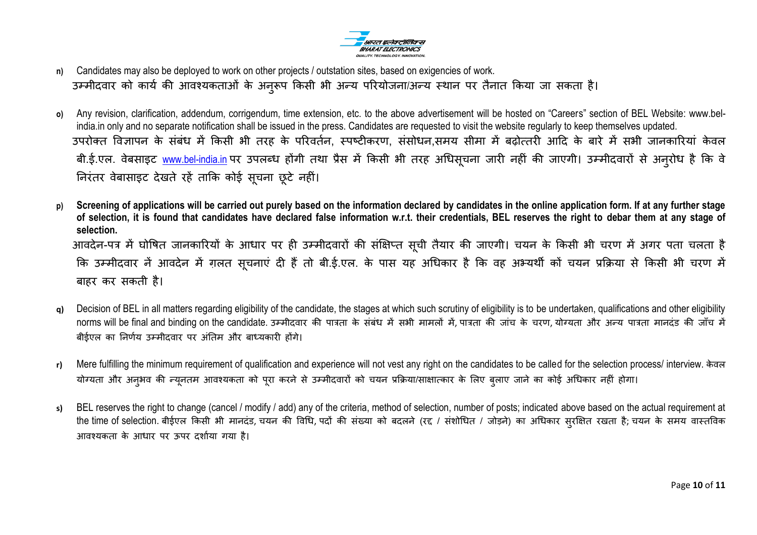

- **n)** Candidates may also be deployed to work on other projects / outstation sites, based on exigencies of work. उम्मीदवार को कार्य की आवश्यकताओं के अनुरूप किसी भी अन्य परियोजना/अन्य स्थान पर तैनात किया जा सकता है।
- **o)** Any revision, clarification, addendum, corrigendum, time extension, etc. to the above advertisement will be hosted on "Careers" section of BEL Website: www.belindia.in only and no separate notification shall be issued in the press. Candidates are requested to visit the website regularly to keep themselves updated. उपरोक्त विज्ञापन के संबंध में किसी भी तरह के परिवर्तन, स्पष्टीकरण, संसोधन,समय सीमा में बढोत्तरी आदि के बारे में सभी जानकारियां केवल बी.ई.एल. वेबसाइट <u>www.bel-india.in</u> पर उपलब्ध होंगी तथा प्रैस में किसी भी तरह अधिसूचना जारी नहीं की जाएगी। उम्मीदवारों से अनुरोध है कि वे निरंतर वेबासाइट देखते रहें ताकि कोई सूचना छूटे नहीं।
- **p) Screening of applications will be carried out purely based on the information declared by candidates in the online application form. If at any further stage of selection, it is found that candidates have declared false information w.r.t. their credentials, BEL reserves the right to debar them at any stage of selection.** आवदेन-पत्र में घोषित जानकारियों के आधार पर ही उम्मीदवारों की संक्षिप्त सूची तैयार की जाएगी। चयन के किसी भी चरण में अगर पता चलता है कि उम्मीदवार नें आवदेन में ग़लत सूचनाएं दी हैं तो बी.ई.एल. के पास यह अधिकार है कि वह अभ्यर्थी कों चयन प्रक्रिया से किसी भी चरण में फाहय कय सकती है।
- **q)** Decision of BEL in all matters regarding eligibility of the candidate, the stages at which such scrutiny of eligibility is to be undertaken, qualifications and other eligibility norms will be final and binding on the candidate. उम्मीदवार की पात्रता के संबंध में सभी मामलों में, पात्रता की जांच के चरण, योग्यता और अन्य पात्रता मानदंड की जाँच में बीईएल का निर्णय उम्मीदवार पर अंतिम और बाध्यकारी होंगे।
- **r)** Mere fulfilling the minimum requirement of qualification and experience will not vest any right on the candidates to be called for the selection process/ interview. के वर योग्यता और अनुभव की न्युनतम आवश्यकता को पुरा करने से उम्मीदवारों को चयन प्रक्रिया/साक्षात्कार के लिए बुलाए जाने का कोई अधिकार नहीं होगा।
- **s)** BEL reserves the right to change (cancel / modify / add) any of the criteria, method of selection, number of posts; indicated above based on the actual requirement at the time of selection. बीईएल किसी भी मानदंड, चयन की विधि, पदों की संख्या को बदलने (रद / संशोधित / जोड़ने) का अधिकार स्रक्षित रखता है; चयन के समय वास्तविक आवश्यकता के आधार पर ऊपर दर्शाया गया है।